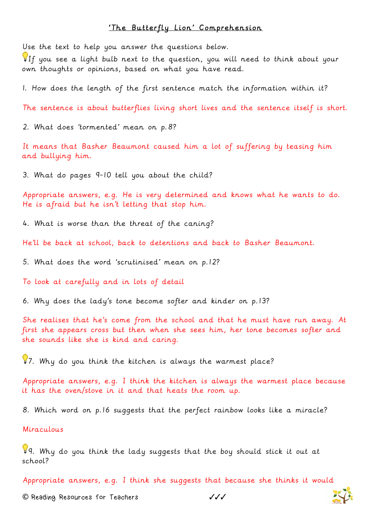## 'The Butterfly Lion' Comprehension

Use the text to help you answer the questions below.

If you see a light bulb next to the question, you will need to think about your own thoughts or opinions, based on what you have read.

1. How does the length of the first sentence match the information within it?

The sentence is about butterflies living short lives and the sentence itself is short.

2. What does 'tormented' mean on p.8?

It means that Basher Beaumont caused him a lot of suffering by teasing him and bullying him.

3. What do pages 9-10 tell you about the child?

Appropriate answers, e.g. He is very determined and knows what he wants to do. He is afraid but he isn't letting that stop him.

4. What is worse than the threat of the caning?

He'll be back at school, back to detentions and back to Basher Beaumont.

5. What does the word 'scrutinised' mean on p.12?

To look at carefully and in lots of detail

6. Why does the lady's tone become softer and kinder on p.13?

She realises that he's come from the school and that he must have run away. At first she appears cross but then when she sees him, her tone becomes softer and she sounds like she is kind and caring.

 $\sqrt{37}$ . Why do you think the kitchen is always the warmest place?

Appropriate answers, e.g. I think the kitchen is always the warmest place because it has the oven/stove in it and that heats the room up.

8. Which word on p.16 suggests that the perfect rainbow looks like a miracle?

Miraculous

9. Why do you think the lady suggests that the boy should stick it out at school?

Appropriate answers, e.g. I think she suggests that because she thinks it would

**©** Reading Resources for Teachers ✓✓✓